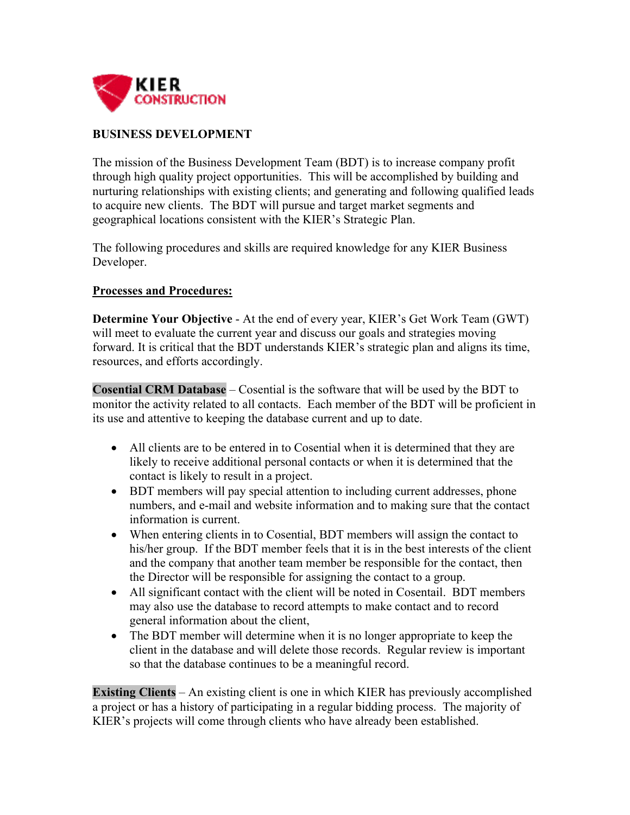

## **BUSINESS DEVELOPMENT**

The mission of the Business Development Team (BDT) is to increase company profit through high quality project opportunities. This will be accomplished by building and nurturing relationships with existing clients; and generating and following qualified leads to acquire new clients. The BDT will pursue and target market segments and geographical locations consistent with the KIER's Strategic Plan.

The following procedures and skills are required knowledge for any KIER Business Developer.

## **Processes and Procedures:**

**Determine Your Objective** - At the end of every year, KIER's Get Work Team (GWT) will meet to evaluate the current year and discuss our goals and strategies moving forward. It is critical that the BDT understands KIER's strategic plan and aligns its time, resources, and efforts accordingly.

**Cosential CRM Database** – Cosential is the software that will be used by the BDT to monitor the activity related to all contacts. Each member of the BDT will be proficient in its use and attentive to keeping the database current and up to date.

- All clients are to be entered in to Cosential when it is determined that they are likely to receive additional personal contacts or when it is determined that the contact is likely to result in a project.
- BDT members will pay special attention to including current addresses, phone numbers, and e-mail and website information and to making sure that the contact information is current.
- When entering clients in to Cosential, BDT members will assign the contact to his/her group. If the BDT member feels that it is in the best interests of the client and the company that another team member be responsible for the contact, then the Director will be responsible for assigning the contact to a group.
- All significant contact with the client will be noted in Cosentail. BDT members may also use the database to record attempts to make contact and to record general information about the client,
- The BDT member will determine when it is no longer appropriate to keep the client in the database and will delete those records. Regular review is important so that the database continues to be a meaningful record.

**Existing Clients** – An existing client is one in which KIER has previously accomplished a project or has a history of participating in a regular bidding process. The majority of KIER's projects will come through clients who have already been established.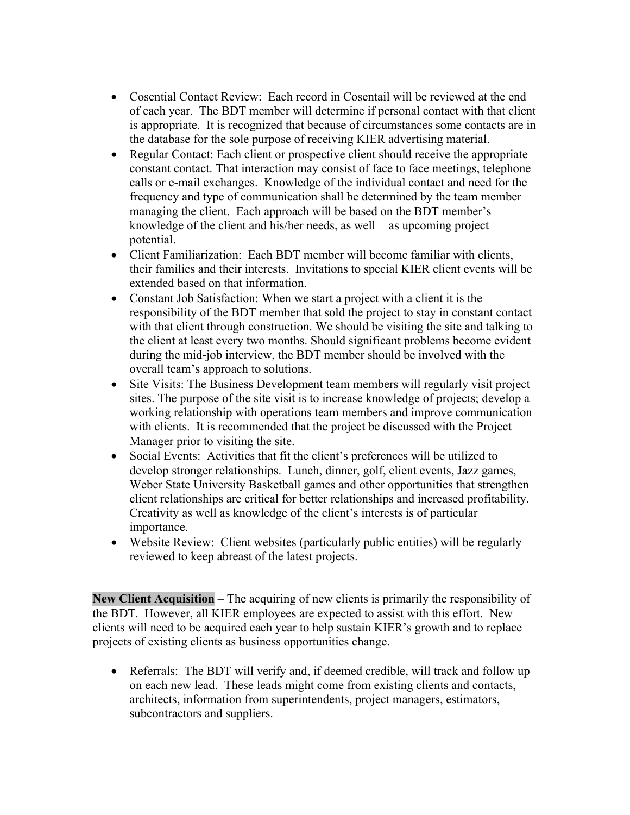- Cosential Contact Review: Each record in Cosentail will be reviewed at the end of each year. The BDT member will determine if personal contact with that client is appropriate. It is recognized that because of circumstances some contacts are in the database for the sole purpose of receiving KIER advertising material.
- Regular Contact: Each client or prospective client should receive the appropriate constant contact. That interaction may consist of face to face meetings, telephone calls or e-mail exchanges. Knowledge of the individual contact and need for the frequency and type of communication shall be determined by the team member managing the client. Each approach will be based on the BDT member's knowledge of the client and his/her needs, as well as upcoming project potential.
- Client Familiarization: Each BDT member will become familiar with clients, their families and their interests. Invitations to special KIER client events will be extended based on that information.
- Constant Job Satisfaction: When we start a project with a client it is the responsibility of the BDT member that sold the project to stay in constant contact with that client through construction. We should be visiting the site and talking to the client at least every two months. Should significant problems become evident during the mid-job interview, the BDT member should be involved with the overall team's approach to solutions.
- Site Visits: The Business Development team members will regularly visit project sites. The purpose of the site visit is to increase knowledge of projects; develop a working relationship with operations team members and improve communication with clients. It is recommended that the project be discussed with the Project Manager prior to visiting the site.
- Social Events: Activities that fit the client's preferences will be utilized to develop stronger relationships. Lunch, dinner, golf, client events, Jazz games, Weber State University Basketball games and other opportunities that strengthen client relationships are critical for better relationships and increased profitability. Creativity as well as knowledge of the client's interests is of particular importance.
- Website Review: Client websites (particularly public entities) will be regularly reviewed to keep abreast of the latest projects.

**New Client Acquisition** – The acquiring of new clients is primarily the responsibility of the BDT. However, all KIER employees are expected to assist with this effort. New clients will need to be acquired each year to help sustain KIER's growth and to replace projects of existing clients as business opportunities change.

 Referrals: The BDT will verify and, if deemed credible, will track and follow up on each new lead. These leads might come from existing clients and contacts, architects, information from superintendents, project managers, estimators, subcontractors and suppliers.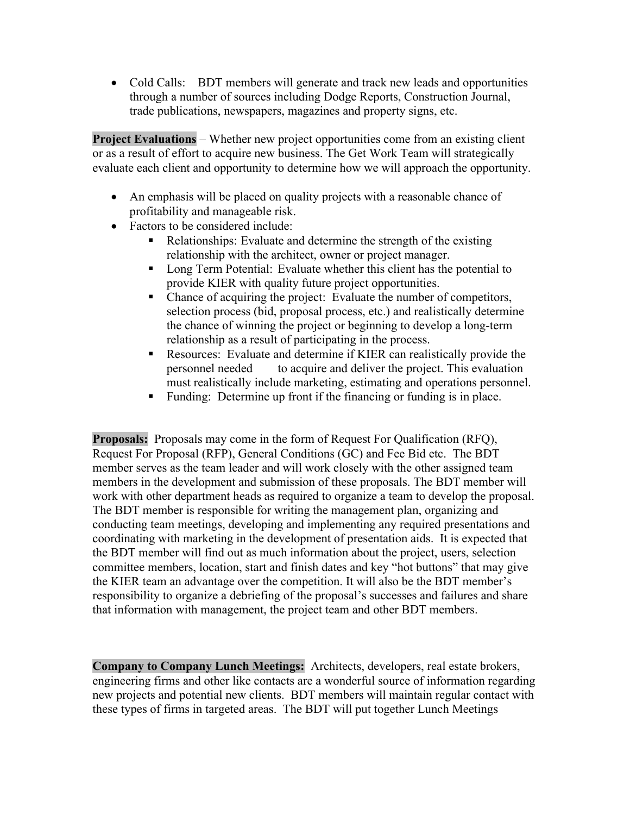Cold Calls: BDT members will generate and track new leads and opportunities through a number of sources including Dodge Reports, Construction Journal, trade publications, newspapers, magazines and property signs, etc.

**Project Evaluations** – Whether new project opportunities come from an existing client or as a result of effort to acquire new business. The Get Work Team will strategically evaluate each client and opportunity to determine how we will approach the opportunity.

- An emphasis will be placed on quality projects with a reasonable chance of profitability and manageable risk.
- Factors to be considered include:
	- Relationships: Evaluate and determine the strength of the existing relationship with the architect, owner or project manager.
	- Long Term Potential: Evaluate whether this client has the potential to provide KIER with quality future project opportunities.
	- Chance of acquiring the project: Evaluate the number of competitors, selection process (bid, proposal process, etc.) and realistically determine the chance of winning the project or beginning to develop a long-term relationship as a result of participating in the process.
	- Resources: Evaluate and determine if KIER can realistically provide the personnel needed to acquire and deliver the project. This evaluation must realistically include marketing, estimating and operations personnel.
	- Funding: Determine up front if the financing or funding is in place.

**Proposals:** Proposals may come in the form of Request For Qualification (RFQ), Request For Proposal (RFP), General Conditions (GC) and Fee Bid etc. The BDT member serves as the team leader and will work closely with the other assigned team members in the development and submission of these proposals. The BDT member will work with other department heads as required to organize a team to develop the proposal. The BDT member is responsible for writing the management plan, organizing and conducting team meetings, developing and implementing any required presentations and coordinating with marketing in the development of presentation aids. It is expected that the BDT member will find out as much information about the project, users, selection committee members, location, start and finish dates and key "hot buttons" that may give the KIER team an advantage over the competition. It will also be the BDT member's responsibility to organize a debriefing of the proposal's successes and failures and share that information with management, the project team and other BDT members.

**Company to Company Lunch Meetings:** Architects, developers, real estate brokers, engineering firms and other like contacts are a wonderful source of information regarding new projects and potential new clients. BDT members will maintain regular contact with these types of firms in targeted areas. The BDT will put together Lunch Meetings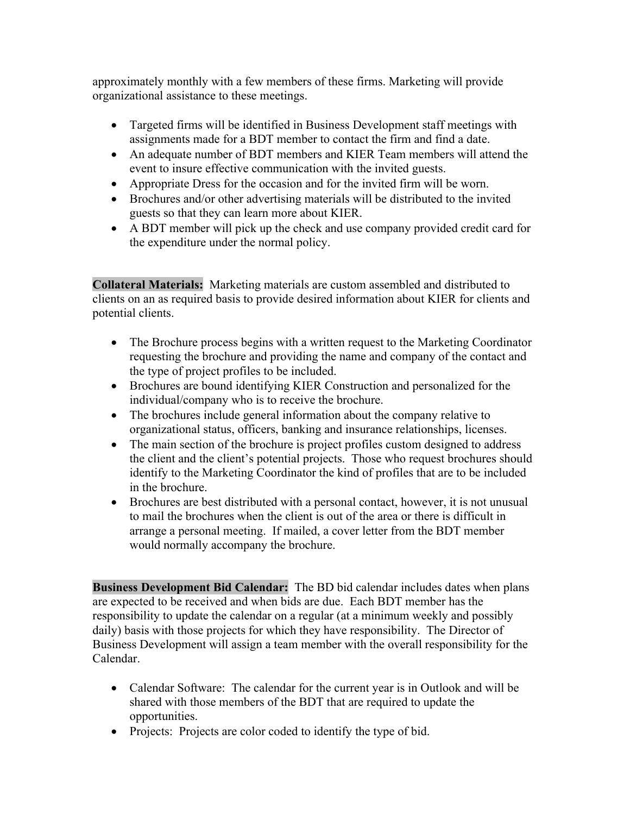approximately monthly with a few members of these firms. Marketing will provide organizational assistance to these meetings.

- Targeted firms will be identified in Business Development staff meetings with assignments made for a BDT member to contact the firm and find a date.
- An adequate number of BDT members and KIER Team members will attend the event to insure effective communication with the invited guests.
- Appropriate Dress for the occasion and for the invited firm will be worn.
- Brochures and/or other advertising materials will be distributed to the invited guests so that they can learn more about KIER.
- A BDT member will pick up the check and use company provided credit card for the expenditure under the normal policy.

**Collateral Materials:** Marketing materials are custom assembled and distributed to clients on an as required basis to provide desired information about KIER for clients and potential clients.

- The Brochure process begins with a written request to the Marketing Coordinator requesting the brochure and providing the name and company of the contact and the type of project profiles to be included.
- Brochures are bound identifying KIER Construction and personalized for the individual/company who is to receive the brochure.
- The brochures include general information about the company relative to organizational status, officers, banking and insurance relationships, licenses.
- The main section of the brochure is project profiles custom designed to address the client and the client's potential projects. Those who request brochures should identify to the Marketing Coordinator the kind of profiles that are to be included in the brochure.
- Brochures are best distributed with a personal contact, however, it is not unusual to mail the brochures when the client is out of the area or there is difficult in arrange a personal meeting. If mailed, a cover letter from the BDT member would normally accompany the brochure.

**Business Development Bid Calendar:** The BD bid calendar includes dates when plans are expected to be received and when bids are due. Each BDT member has the responsibility to update the calendar on a regular (at a minimum weekly and possibly daily) basis with those projects for which they have responsibility. The Director of Business Development will assign a team member with the overall responsibility for the Calendar.

- Calendar Software: The calendar for the current year is in Outlook and will be shared with those members of the BDT that are required to update the opportunities.
- Projects: Projects are color coded to identify the type of bid.